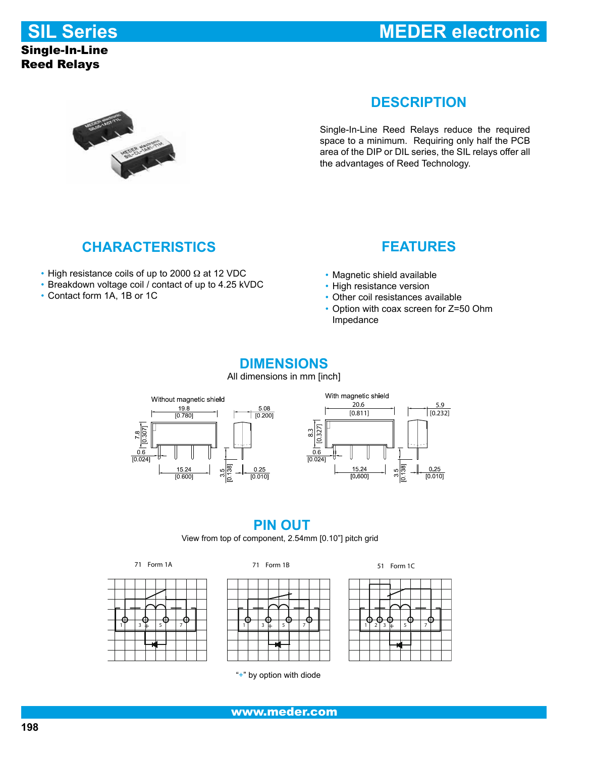**SIL Series**

#### Single-In-Line Reed Relays

# **MEDER electronic**



## **DESCRIPTION**

Single-In-Line Reed Relays reduce the required space to a minimum. Requiring only half the PCB area of the DIP or DIL series, the SIL relays offer all the advantages of Reed Technology.

# **CHARACTERISTICS**

- High resistance coils of up to 2000 Ω at 12 VDC
- • Breakdown voltage coil / contact of up to 4.25 kVDC
- • Contact form 1A, 1B or 1C

#### **FEATURES**

- • Magnetic shield available
- High resistance version
- Other coil resistances available
- • Option with coax screen for Z=50 Ohm Impedance

#### **DIMENSIONS**

All dimensions in mm [inch]



#### **PIN OUT** View from top of component, 2.54mm [0.10"] pitch grid







71 Form 1A 71 Form 1B 51 Form 1C

|  |               | -≏ |   |  |  |
|--|---------------|----|---|--|--|
|  | $\frac{1}{2}$ | 58 | 5 |  |  |
|  |               |    |   |  |  |
|  |               |    |   |  |  |
|  |               |    |   |  |  |

"+" by option with diode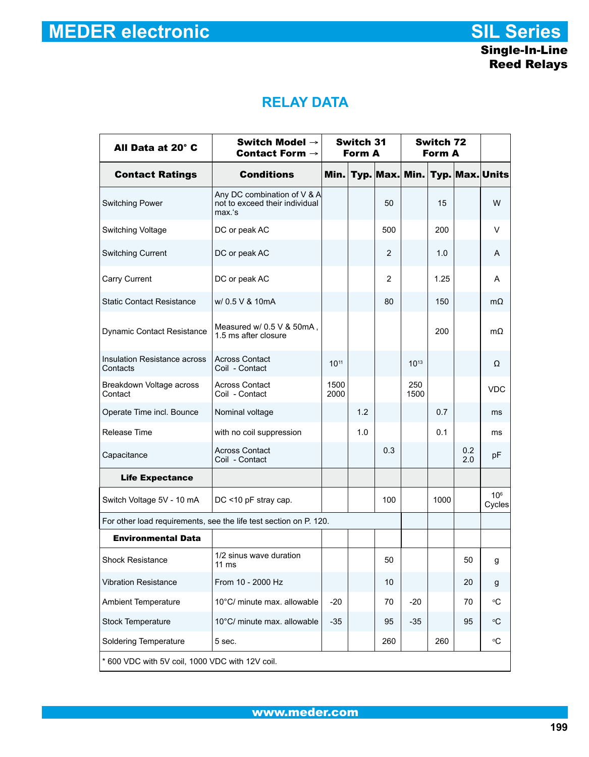# **RELAY DATA**

| All Data at 20° C                               | Switch Model $\rightarrow$<br>Switch 31<br>Contact Form $\rightarrow$<br>Form A |              |     |                | Switch 72<br>Form A |      |            |                           |
|-------------------------------------------------|---------------------------------------------------------------------------------|--------------|-----|----------------|---------------------|------|------------|---------------------------|
| <b>Contact Ratings</b>                          | <b>Conditions</b>                                                               | Min.         |     | Typ. Max.      | Min.                |      |            | Typ. Max. Units           |
| <b>Switching Power</b>                          | Any DC combination of V & A<br>not to exceed their individual<br>max.'s         |              |     | 50             |                     | 15   |            | W                         |
| Switching Voltage                               | DC or peak AC                                                                   |              |     | 500            |                     | 200  |            | V                         |
| <b>Switching Current</b>                        | DC or peak AC                                                                   |              |     | 2              |                     | 1.0  |            | A                         |
| Carry Current                                   | DC or peak AC                                                                   |              |     | $\mathfrak{p}$ |                     | 1.25 |            | А                         |
| <b>Static Contact Resistance</b>                | w/ 0.5 V & 10mA                                                                 |              |     | 80             |                     | 150  |            | $m\Omega$                 |
| <b>Dynamic Contact Resistance</b>               | Measured w/ 0.5 V & 50mA,<br>1.5 ms after closure                               |              |     |                |                     | 200  |            | mΩ                        |
| Insulation Resistance across<br>Contacts        | <b>Across Contact</b><br>Coil - Contact                                         | $10^{11}$    |     |                | $10^{13}$           |      |            | Ω                         |
| Breakdown Voltage across<br>Contact             | <b>Across Contact</b><br>Coil - Contact                                         | 1500<br>2000 |     |                | 250<br>1500         |      |            | <b>VDC</b>                |
| Operate Time incl. Bounce                       | Nominal voltage                                                                 |              | 1.2 |                |                     | 0.7  |            | ms                        |
| Release Time                                    | with no coil suppression                                                        |              | 1.0 |                |                     | 0.1  |            | ms                        |
| Capacitance                                     | Across Contact<br>Coil - Contact                                                |              |     | 0.3            |                     |      | 0.2<br>2.0 | pF                        |
| <b>Life Expectance</b>                          |                                                                                 |              |     |                |                     |      |            |                           |
| Switch Voltage 5V - 10 mA                       | DC <10 pF stray cap.                                                            |              |     | 100            |                     | 1000 |            | 10 <sup>6</sup><br>Cycles |
|                                                 | For other load requirements, see the life test section on P. 120.               |              |     |                |                     |      |            |                           |
| <b>Environmental Data</b>                       |                                                                                 |              |     |                |                     |      |            |                           |
| <b>Shock Resistance</b>                         | 1/2 sinus wave duration<br>$11 \text{ ms}$                                      |              |     | 50             |                     |      | 50         | g                         |
| <b>Vibration Resistance</b>                     | From 10 - 2000 Hz                                                               |              |     | 10             |                     |      | 20         | g                         |
| <b>Ambient Temperature</b>                      | 10°C/ minute max. allowable                                                     | $-20$        |     | 70             | $-20$               |      | 70         | °C                        |
| <b>Stock Temperature</b>                        | 10°C/ minute max. allowable                                                     | $-35$        |     | 95             | $-35$               |      | 95         | ۰C                        |
| <b>Soldering Temperature</b><br>5 sec.          |                                                                                 |              |     | 260            |                     | 260  |            | °C                        |
| * 600 VDC with 5V coil, 1000 VDC with 12V coil. |                                                                                 |              |     |                |                     |      |            |                           |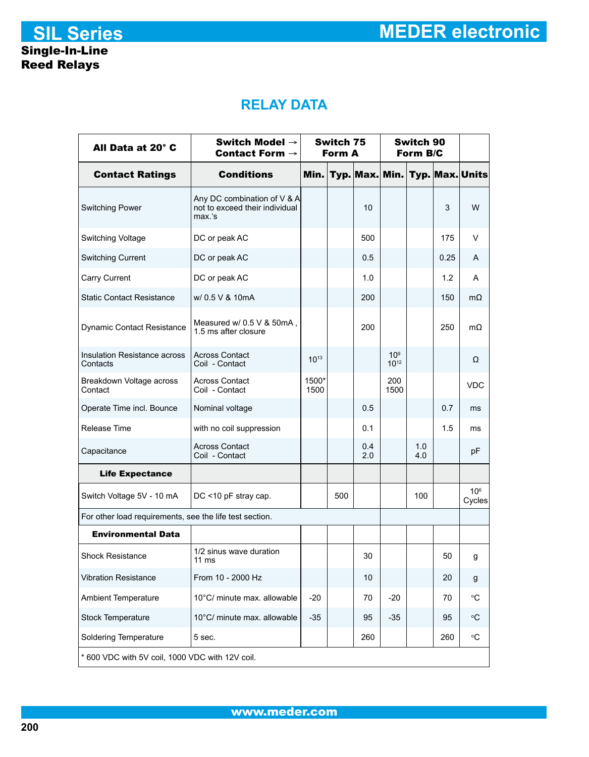# **RELAY DATA**

| All Data at 20° C                                       | Switch Model $\rightarrow$<br>Contact Form $\rightarrow$                | Switch 75<br>Form A |     |            | Switch 90<br>Form B/C        |            |      |                                |
|---------------------------------------------------------|-------------------------------------------------------------------------|---------------------|-----|------------|------------------------------|------------|------|--------------------------------|
| <b>Contact Ratings</b>                                  | <b>Conditions</b>                                                       | Min.                |     |            |                              |            |      | Typ. Max. Min. Typ. Max. Units |
| <b>Switching Power</b>                                  | Any DC combination of V & A<br>not to exceed their individual<br>max.'s |                     |     | 10         |                              |            | 3    | W                              |
| Switching Voltage                                       | DC or peak AC                                                           |                     |     | 500        |                              |            | 175  | V                              |
| <b>Switching Current</b>                                | DC or peak AC                                                           |                     |     | 0.5        |                              |            | 0.25 | A                              |
| Carry Current                                           | DC or peak AC                                                           |                     |     | 1.0        |                              |            | 1.2  | A                              |
| <b>Static Contact Resistance</b>                        | w/ 0.5 V & 10mA                                                         |                     |     | 200        |                              |            | 150  | $m\Omega$                      |
| <b>Dynamic Contact Resistance</b>                       | Measured w/ 0.5 V & 50mA,<br>1.5 ms after closure                       |                     |     | 200        |                              |            | 250  | $m\Omega$                      |
| Insulation Resistance across<br>Contacts                | <b>Across Contact</b><br>Coil - Contact                                 | $10^{13}$           |     |            | 10 <sup>9</sup><br>$10^{12}$ |            |      | Ω                              |
| Breakdown Voltage across<br>Contact                     | <b>Across Contact</b><br>Coil - Contact                                 | 1500*<br>1500       |     |            | 200<br>1500                  |            |      | <b>VDC</b>                     |
| Operate Time incl. Bounce                               | Nominal voltage                                                         |                     |     | 0.5        |                              |            | 0.7  | ms                             |
| Release Time                                            | with no coil suppression                                                |                     |     | 0.1        |                              |            | 1.5  | ms                             |
| Capacitance                                             | <b>Across Contact</b><br>Coil - Contact                                 |                     |     | 0.4<br>2.0 |                              | 1.0<br>4.0 |      | pF                             |
| <b>Life Expectance</b>                                  |                                                                         |                     |     |            |                              |            |      |                                |
| Switch Voltage 5V - 10 mA                               | DC <10 pF stray cap.                                                    |                     | 500 |            |                              | 100        |      | 10 <sup>6</sup><br>Cycles      |
| For other load requirements, see the life test section. |                                                                         |                     |     |            |                              |            |      |                                |
| <b>Environmental Data</b>                               |                                                                         |                     |     |            |                              |            |      |                                |
| <b>Shock Resistance</b>                                 | 1/2 sinus wave duration<br>$11 \text{ ms}$                              |                     |     | 30         |                              |            | 50   | g                              |
| <b>Vibration Resistance</b>                             | From 10 - 2000 Hz                                                       |                     |     | 10         |                              |            | 20   | g                              |
| <b>Ambient Temperature</b>                              | 10°C/ minute max. allowable                                             | $-20$               |     | 70         | $-20$                        |            | 70   | ۰C                             |
| <b>Stock Temperature</b>                                | 10°C/ minute max. allowable                                             | $-35$               |     | 95         | $-35$                        |            | 95   | °C                             |
| <b>Soldering Temperature</b>                            | 5 sec.                                                                  |                     |     | 260        |                              |            | 260  | °C                             |
| * 600 VDC with 5V coil, 1000 VDC with 12V coil.         |                                                                         |                     |     |            |                              |            |      |                                |